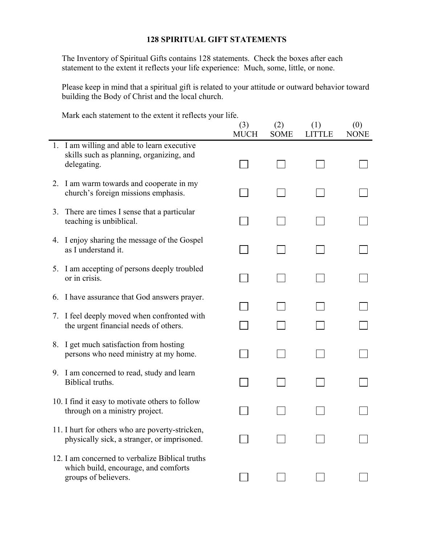## **128 SPIRITUAL GIFT STATEMENTS**

The Inventory of Spiritual Gifts contains 128 statements. Check the boxes after each statement to the extent it reflects your life experience: Much, some, little, or none.

Please keep in mind that a spiritual gift is related to your attitude or outward behavior toward building the Body of Christ and the local church.

Mark each statement to the extent it reflects your life.

|    |                                                                                                                 | (3)<br><b>MUCH</b> | (2)<br><b>SOME</b> | (1)<br><b>LITTLE</b> | (0)<br><b>NONE</b> |
|----|-----------------------------------------------------------------------------------------------------------------|--------------------|--------------------|----------------------|--------------------|
|    | 1. I am willing and able to learn executive<br>skills such as planning, organizing, and<br>delegating.          |                    |                    |                      |                    |
|    | 2. I am warm towards and cooperate in my<br>church's foreign missions emphasis.                                 |                    |                    |                      |                    |
| 3. | There are times I sense that a particular<br>teaching is unbiblical.                                            |                    |                    |                      |                    |
|    | 4. I enjoy sharing the message of the Gospel<br>as I understand it.                                             |                    |                    |                      |                    |
|    | 5. I am accepting of persons deeply troubled<br>or in crisis.                                                   |                    |                    |                      |                    |
|    | 6. I have assurance that God answers prayer.                                                                    |                    |                    |                      |                    |
|    | 7. I feel deeply moved when confronted with<br>the urgent financial needs of others.                            |                    |                    |                      |                    |
|    | 8. I get much satisfaction from hosting<br>persons who need ministry at my home.                                |                    |                    |                      |                    |
|    | 9. I am concerned to read, study and learn<br>Biblical truths.                                                  |                    |                    |                      |                    |
|    | 10. I find it easy to motivate others to follow<br>through on a ministry project.                               |                    |                    |                      |                    |
|    | 11. I hurt for others who are poverty-stricken,<br>physically sick, a stranger, or imprisoned.                  |                    |                    |                      |                    |
|    | 12. I am concerned to verbalize Biblical truths<br>which build, encourage, and comforts<br>groups of believers. |                    |                    |                      |                    |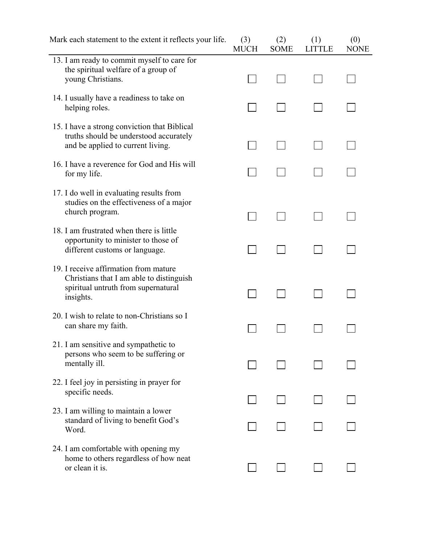| Mark each statement to the extent it reflects your life.                                                                              | (3)<br><b>MUCH</b> | (2)<br><b>SOME</b> | (1)<br><b>LITTLE</b> | (0)<br><b>NONE</b> |
|---------------------------------------------------------------------------------------------------------------------------------------|--------------------|--------------------|----------------------|--------------------|
| 13. I am ready to commit myself to care for<br>the spiritual welfare of a group of<br>young Christians.                               |                    |                    |                      |                    |
| 14. I usually have a readiness to take on<br>helping roles.                                                                           |                    |                    |                      |                    |
| 15. I have a strong conviction that Biblical<br>truths should be understood accurately<br>and be applied to current living.           |                    |                    |                      |                    |
| 16. I have a reverence for God and His will<br>for my life.                                                                           |                    |                    |                      |                    |
| 17. I do well in evaluating results from<br>studies on the effectiveness of a major<br>church program.                                |                    |                    |                      |                    |
| 18. I am frustrated when there is little<br>opportunity to minister to those of<br>different customs or language.                     |                    |                    |                      |                    |
| 19. I receive affirmation from mature<br>Christians that I am able to distinguish<br>spiritual untruth from supernatural<br>insights. |                    |                    |                      |                    |
| 20. I wish to relate to non-Christians so I<br>can share my faith.                                                                    |                    |                    |                      |                    |
| 21. I am sensitive and sympathetic to<br>persons who seem to be suffering or<br>mentally ill.                                         |                    |                    |                      |                    |
| 22. I feel joy in persisting in prayer for<br>specific needs.                                                                         |                    |                    |                      |                    |
| 23. I am willing to maintain a lower<br>standard of living to benefit God's<br>Word.                                                  |                    |                    |                      |                    |
| 24. I am comfortable with opening my<br>home to others regardless of how neat<br>or clean it is.                                      |                    |                    |                      |                    |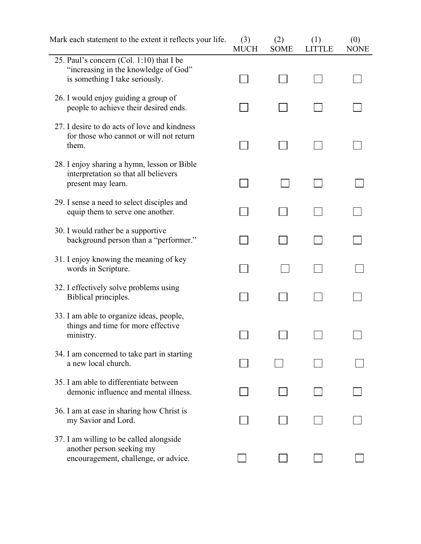| Mark each statement to the extent it reflects your life.                                                           | (3)<br><b>MUCH</b> | (2)<br><b>SOME</b> | (1)<br><b>LITTLE</b> | (0)<br><b>NONE</b> |
|--------------------------------------------------------------------------------------------------------------------|--------------------|--------------------|----------------------|--------------------|
| 25. Paul's concern (Col. 1:10) that I be<br>"increasing in the knowledge of God"<br>is something I take seriously. |                    |                    |                      |                    |
| 26. I would enjoy guiding a group of<br>people to achieve their desired ends.                                      |                    |                    |                      |                    |
| 27. I desire to do acts of love and kindness<br>for those who cannot or will not return<br>them.                   |                    |                    |                      |                    |
| 28. I enjoy sharing a hymn, lesson or Bible<br>interpretation so that all believers<br>present may learn.          |                    |                    |                      |                    |
| 29. I sense a need to select disciples and<br>equip them to serve one another.                                     |                    |                    |                      |                    |
| 30. I would rather be a supportive<br>background person than a "performer."                                        |                    |                    |                      |                    |
| 31. I enjoy knowing the meaning of key<br>words in Scripture.                                                      |                    |                    |                      |                    |
| 32. I effectively solve problems using<br>Biblical principles.                                                     |                    |                    |                      |                    |
| 33. I am able to organize ideas, people,<br>things and time for more effective<br>ministry.                        |                    |                    |                      |                    |
| 34. I am concerned to take part in starting<br>a new local church.                                                 |                    |                    |                      |                    |
| 35. I am able to differentiate between<br>demonic influence and mental illness.                                    |                    |                    |                      |                    |
| 36. I am at ease in sharing how Christ is<br>my Savior and Lord.                                                   |                    |                    |                      |                    |
| 37. I am willing to be called alongside<br>another person seeking my<br>encouragement, challenge, or advice.       |                    |                    |                      |                    |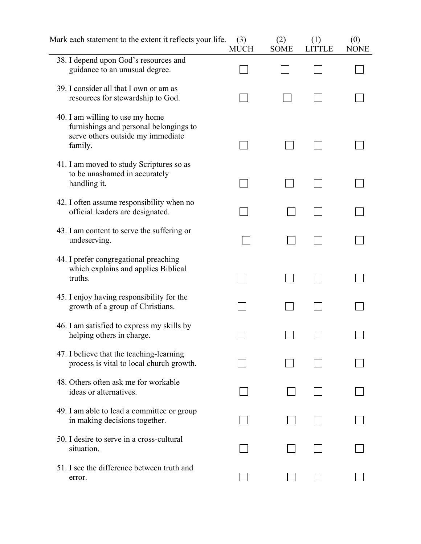| Mark each statement to the extent it reflects your life.                                                                  | (3)<br><b>MUCH</b> | (2)<br><b>SOME</b> | (1)<br><b>LITTLE</b> | (0)<br><b>NONE</b> |
|---------------------------------------------------------------------------------------------------------------------------|--------------------|--------------------|----------------------|--------------------|
| 38. I depend upon God's resources and<br>guidance to an unusual degree.                                                   |                    |                    |                      |                    |
| 39. I consider all that I own or am as<br>resources for stewardship to God.                                               |                    |                    |                      |                    |
| 40. I am willing to use my home<br>furnishings and personal belongings to<br>serve others outside my immediate<br>family. |                    |                    |                      |                    |
| 41. I am moved to study Scriptures so as<br>to be unashamed in accurately<br>handling it.                                 |                    |                    |                      |                    |
| 42. I often assume responsibility when no<br>official leaders are designated.                                             |                    |                    |                      |                    |
| 43. I am content to serve the suffering or<br>undeserving.                                                                |                    |                    |                      |                    |
| 44. I prefer congregational preaching<br>which explains and applies Biblical<br>truths.                                   |                    |                    |                      |                    |
| 45. I enjoy having responsibility for the<br>growth of a group of Christians.                                             |                    |                    |                      |                    |
| 46. I am satisfied to express my skills by<br>helping others in charge.                                                   |                    |                    |                      |                    |
| 47. I believe that the teaching-learning<br>process is vital to local church growth.                                      |                    |                    |                      |                    |
| 48. Others often ask me for workable<br>ideas or alternatives.                                                            |                    |                    |                      |                    |
| 49. I am able to lead a committee or group<br>in making decisions together.                                               |                    |                    |                      |                    |
| 50. I desire to serve in a cross-cultural<br>situation.                                                                   |                    |                    |                      |                    |
| 51. I see the difference between truth and<br>error.                                                                      |                    |                    |                      |                    |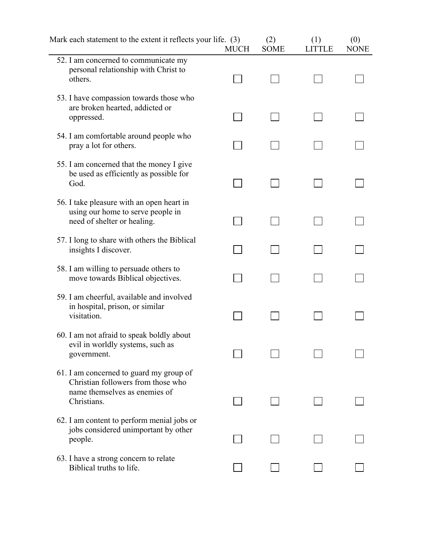| Mark each statement to the extent it reflects your life. (3)                                                                  | <b>MUCH</b> | (2)<br><b>SOME</b> | (1)<br><b>LITTLE</b> | (0)<br><b>NONE</b> |  |
|-------------------------------------------------------------------------------------------------------------------------------|-------------|--------------------|----------------------|--------------------|--|
| 52. I am concerned to communicate my<br>personal relationship with Christ to<br>others.                                       |             |                    |                      |                    |  |
| 53. I have compassion towards those who<br>are broken hearted, addicted or<br>oppressed.                                      |             |                    |                      |                    |  |
| 54. I am comfortable around people who<br>pray a lot for others.                                                              |             |                    |                      |                    |  |
| 55. I am concerned that the money I give<br>be used as efficiently as possible for<br>God.                                    |             |                    |                      |                    |  |
| 56. I take pleasure with an open heart in<br>using our home to serve people in<br>need of shelter or healing.                 |             |                    |                      |                    |  |
| 57. I long to share with others the Biblical<br>insights I discover.                                                          |             |                    |                      |                    |  |
| 58. I am willing to persuade others to<br>move towards Biblical objectives.                                                   |             |                    |                      |                    |  |
| 59. I am cheerful, available and involved<br>in hospital, prison, or similar<br>visitation.                                   |             |                    |                      |                    |  |
| 60. I am not afraid to speak boldly about<br>evil in worldly systems, such as<br>government.                                  |             |                    |                      |                    |  |
| 61. I am concerned to guard my group of<br>Christian followers from those who<br>name themselves as enemies of<br>Christians. |             |                    |                      |                    |  |
| 62. I am content to perform menial jobs or<br>jobs considered unimportant by other<br>people.                                 |             |                    |                      |                    |  |
| 63. I have a strong concern to relate<br>Biblical truths to life.                                                             |             |                    |                      |                    |  |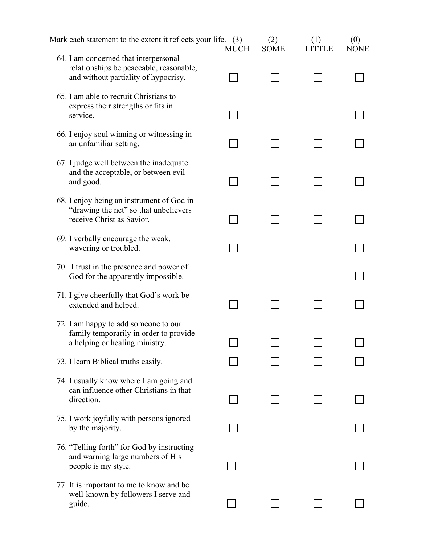| Mark each statement to the extent it reflects your life. (3)                                                             | <b>MUCH</b> | (2)<br><b>SOME</b> | (1)<br><b>LITTLE</b> | (0)<br><b>NONE</b> |  |
|--------------------------------------------------------------------------------------------------------------------------|-------------|--------------------|----------------------|--------------------|--|
| 64. I am concerned that interpersonal<br>relationships be peaceable, reasonable,<br>and without partiality of hypocrisy. |             |                    |                      |                    |  |
| 65. I am able to recruit Christians to<br>express their strengths or fits in<br>service.                                 |             |                    |                      |                    |  |
| 66. I enjoy soul winning or witnessing in<br>an unfamiliar setting.                                                      |             |                    |                      |                    |  |
| 67. I judge well between the inadequate<br>and the acceptable, or between evil<br>and good.                              |             |                    |                      |                    |  |
| 68. I enjoy being an instrument of God in<br>"drawing the net" so that unbelievers<br>receive Christ as Savior.          |             |                    |                      |                    |  |
| 69. I verbally encourage the weak,<br>wavering or troubled.                                                              |             |                    |                      |                    |  |
| 70. I trust in the presence and power of<br>God for the apparently impossible.                                           |             |                    |                      |                    |  |
| 71. I give cheerfully that God's work be<br>extended and helped.                                                         |             |                    |                      |                    |  |
| 72. I am happy to add someone to our<br>family temporarily in order to provide<br>a helping or healing ministry.         |             |                    |                      |                    |  |
| 73. I learn Biblical truths easily.                                                                                      |             |                    |                      |                    |  |
| 74. I usually know where I am going and<br>can influence other Christians in that<br>direction.                          |             |                    |                      |                    |  |
| 75. I work joyfully with persons ignored<br>by the majority.                                                             |             |                    |                      |                    |  |
| 76. "Telling forth" for God by instructing<br>and warning large numbers of His<br>people is my style.                    |             |                    |                      |                    |  |
| 77. It is important to me to know and be<br>well-known by followers I serve and<br>guide.                                |             |                    |                      |                    |  |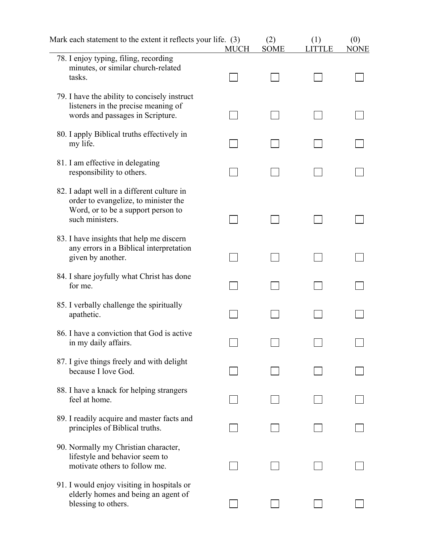| Mark each statement to the extent it reflects your life. (3)                                                                                | <b>MUCH</b> | (2)<br><b>SOME</b> | (1)<br><b>LITTLE</b> | (0)<br><b>NONE</b> |  |
|---------------------------------------------------------------------------------------------------------------------------------------------|-------------|--------------------|----------------------|--------------------|--|
| 78. I enjoy typing, filing, recording<br>minutes, or similar church-related<br>tasks.                                                       |             |                    |                      |                    |  |
| 79. I have the ability to concisely instruct<br>listeners in the precise meaning of<br>words and passages in Scripture.                     |             |                    |                      |                    |  |
| 80. I apply Biblical truths effectively in<br>my life.                                                                                      |             |                    |                      |                    |  |
| 81. I am effective in delegating<br>responsibility to others.                                                                               |             |                    |                      |                    |  |
| 82. I adapt well in a different culture in<br>order to evangelize, to minister the<br>Word, or to be a support person to<br>such ministers. |             |                    |                      |                    |  |
| 83. I have insights that help me discern<br>any errors in a Biblical interpretation<br>given by another.                                    |             |                    |                      |                    |  |
| 84. I share joyfully what Christ has done<br>for me.                                                                                        |             |                    |                      |                    |  |
| 85. I verbally challenge the spiritually<br>apathetic.                                                                                      |             |                    |                      |                    |  |
| 86. I have a conviction that God is active.<br>in my daily affairs.                                                                         |             |                    |                      |                    |  |
| 87. I give things freely and with delight<br>because I love God.                                                                            |             |                    |                      |                    |  |
| 88. I have a knack for helping strangers<br>feel at home.                                                                                   |             |                    |                      |                    |  |
| 89. I readily acquire and master facts and<br>principles of Biblical truths.                                                                |             |                    |                      |                    |  |
| 90. Normally my Christian character,<br>lifestyle and behavior seem to<br>motivate others to follow me.                                     |             |                    |                      |                    |  |
| 91. I would enjoy visiting in hospitals or<br>elderly homes and being an agent of<br>blessing to others.                                    |             |                    |                      |                    |  |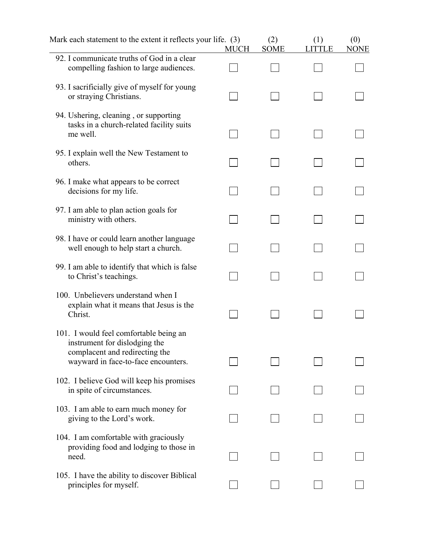| Mark each statement to the extent it reflects your life. (3)                                              | <b>MUCH</b> | (2)<br><b>SOME</b> | (1)<br>LITTLE | (0)<br><b>NONE</b> |  |
|-----------------------------------------------------------------------------------------------------------|-------------|--------------------|---------------|--------------------|--|
| 92. I communicate truths of God in a clear<br>compelling fashion to large audiences.                      |             |                    |               |                    |  |
| 93. I sacrificially give of myself for young<br>or straying Christians.                                   |             |                    |               |                    |  |
| 94. Ushering, cleaning, or supporting<br>tasks in a church-related facility suits<br>me well.             |             |                    |               |                    |  |
| 95. I explain well the New Testament to<br>others.                                                        |             |                    |               |                    |  |
| 96. I make what appears to be correct<br>decisions for my life.                                           |             |                    |               |                    |  |
| 97. I am able to plan action goals for<br>ministry with others.                                           |             |                    |               |                    |  |
| 98. I have or could learn another language<br>well enough to help start a church.                         |             |                    |               |                    |  |
| 99. I am able to identify that which is false<br>to Christ's teachings.                                   |             |                    |               |                    |  |
| 100. Unbelievers understand when I<br>explain what it means that Jesus is the<br>Christ.                  |             |                    |               |                    |  |
| 101. I would feel comfortable being an<br>instrument for dislodging the<br>complacent and redirecting the |             |                    |               |                    |  |
| wayward in face-to-face encounters.                                                                       |             |                    |               |                    |  |
| 102. I believe God will keep his promises<br>in spite of circumstances.                                   |             |                    |               |                    |  |
| 103. I am able to earn much money for<br>giving to the Lord's work.                                       |             |                    |               |                    |  |
| 104. I am comfortable with graciously<br>providing food and lodging to those in<br>need.                  |             |                    |               |                    |  |
| 105. I have the ability to discover Biblical<br>principles for myself.                                    |             |                    |               |                    |  |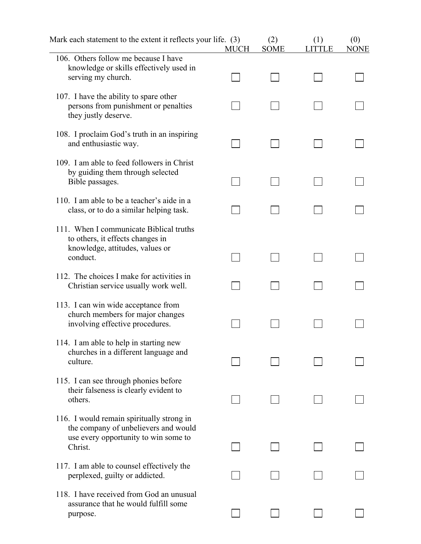| Mark each statement to the extent it reflects your life. (3)                                                                         | <b>MUCH</b> | (2)<br><b>SOME</b> | (1)<br>LITTLE | (0)<br><b>NONE</b> |  |
|--------------------------------------------------------------------------------------------------------------------------------------|-------------|--------------------|---------------|--------------------|--|
| 106. Others follow me because I have<br>knowledge or skills effectively used in<br>serving my church.                                |             |                    |               |                    |  |
| 107. I have the ability to spare other<br>persons from punishment or penalties<br>they justly deserve.                               |             |                    |               |                    |  |
| 108. I proclaim God's truth in an inspiring<br>and enthusiastic way.                                                                 |             |                    |               |                    |  |
| 109. I am able to feed followers in Christ<br>by guiding them through selected<br>Bible passages.                                    |             |                    |               |                    |  |
| 110. I am able to be a teacher's aide in a<br>class, or to do a similar helping task.                                                |             |                    |               |                    |  |
| 111. When I communicate Biblical truths<br>to others, it effects changes in<br>knowledge, attitudes, values or<br>conduct.           |             |                    |               |                    |  |
| 112. The choices I make for activities in<br>Christian service usually work well.                                                    |             |                    |               |                    |  |
| 113. I can win wide acceptance from<br>church members for major changes<br>involving effective procedures.                           |             |                    |               |                    |  |
| 114. I am able to help in starting new<br>churches in a different language and<br>culture.                                           |             |                    |               |                    |  |
| 115. I can see through phonies before<br>their falseness is clearly evident to<br>others.                                            |             |                    |               |                    |  |
| 116. I would remain spiritually strong in<br>the company of unbelievers and would<br>use every opportunity to win some to<br>Christ. |             |                    |               |                    |  |
| 117. I am able to counsel effectively the<br>perplexed, guilty or addicted.                                                          |             |                    |               |                    |  |
| 118. I have received from God an unusual<br>assurance that he would fulfill some<br>purpose.                                         |             |                    |               |                    |  |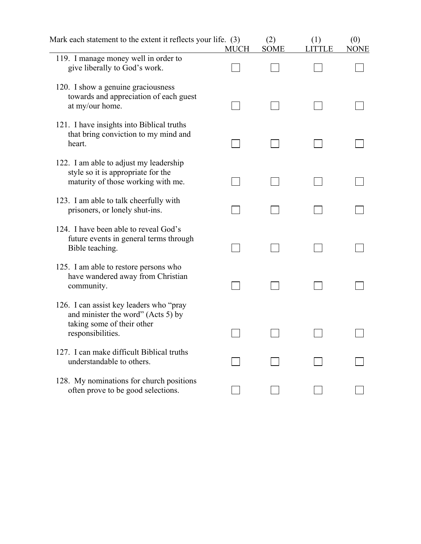| Mark each statement to the extent it reflects your life. (3)                                                                      | <b>MUCH</b> | (2)<br><b>SOME</b> | (1)<br>LITTLE | (0)<br><b>NONE</b> |  |
|-----------------------------------------------------------------------------------------------------------------------------------|-------------|--------------------|---------------|--------------------|--|
| 119. I manage money well in order to<br>give liberally to God's work.                                                             |             |                    |               |                    |  |
| 120. I show a genuine graciousness<br>towards and appreciation of each guest<br>at my/our home.                                   |             |                    |               |                    |  |
| 121. I have insights into Biblical truths<br>that bring conviction to my mind and<br>heart.                                       |             |                    |               |                    |  |
| 122. I am able to adjust my leadership<br>style so it is appropriate for the<br>maturity of those working with me.                |             |                    |               |                    |  |
| 123. I am able to talk cheerfully with<br>prisoners, or lonely shut-ins.                                                          |             |                    |               |                    |  |
| 124. I have been able to reveal God's<br>future events in general terms through<br>Bible teaching.                                |             |                    |               |                    |  |
| 125. I am able to restore persons who<br>have wandered away from Christian<br>community.                                          |             |                    |               |                    |  |
| 126. I can assist key leaders who "pray"<br>and minister the word" (Acts 5) by<br>taking some of their other<br>responsibilities. |             |                    |               |                    |  |
| 127. I can make difficult Biblical truths<br>understandable to others.                                                            |             |                    |               |                    |  |
| 128. My nominations for church positions<br>often prove to be good selections.                                                    |             |                    |               |                    |  |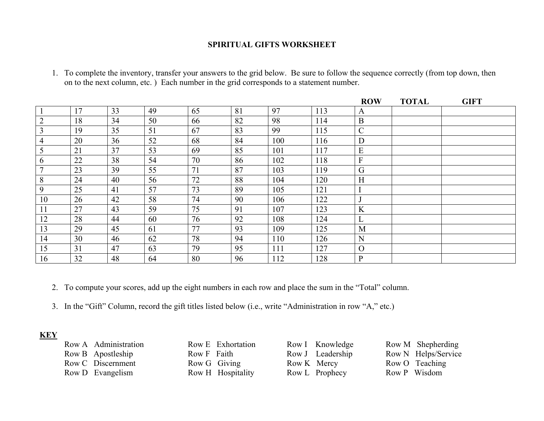### **SPIRITUAL GIFTS WORKSHEET**

| 1. To complete the inventory, transfer your answers to the grid below. Be sure to follow the sequence correctly (from top down, then |
|--------------------------------------------------------------------------------------------------------------------------------------|
| on to the next column, etc.) Each number in the grid corresponds to a statement number.                                              |
|                                                                                                                                      |

|                |    |    |    |    |    |     |     | <b>ROW</b>     | <b>TOTAL</b> | <b>GIFT</b> |
|----------------|----|----|----|----|----|-----|-----|----------------|--------------|-------------|
|                | 17 | 33 | 49 | 65 | 81 | 97  | 113 | A              |              |             |
| $\overline{2}$ | 18 | 34 | 50 | 66 | 82 | 98  | 114 | $\mathbf{B}$   |              |             |
| 3              | 19 | 35 | 51 | 67 | 83 | 99  | 115 | $\mathcal{C}$  |              |             |
| $\overline{4}$ | 20 | 36 | 52 | 68 | 84 | 100 | 116 | D              |              |             |
| 5              | 21 | 37 | 53 | 69 | 85 | 101 | 117 | E              |              |             |
| 6              | 22 | 38 | 54 | 70 | 86 | 102 | 118 | $\overline{F}$ |              |             |
| $\mathbf{r}$   | 23 | 39 | 55 | 71 | 87 | 103 | 119 | G              |              |             |
| 8              | 24 | 40 | 56 | 72 | 88 | 104 | 120 | H              |              |             |
| 9              | 25 | 41 | 57 | 73 | 89 | 105 | 121 |                |              |             |
| 10             | 26 | 42 | 58 | 74 | 90 | 106 | 122 |                |              |             |
| 11             | 27 | 43 | 59 | 75 | 91 | 107 | 123 | K              |              |             |
| 12             | 28 | 44 | 60 | 76 | 92 | 108 | 124 |                |              |             |
| 13             | 29 | 45 | 61 | 77 | 93 | 109 | 125 | M              |              |             |
| 14             | 30 | 46 | 62 | 78 | 94 | 110 | 126 | N              |              |             |
| 15             | 31 | 47 | 63 | 79 | 95 | 111 | 127 | $\overline{O}$ |              |             |
| 16             | 32 | 48 | 64 | 80 | 96 | 112 | 128 | $\mathbf{P}$   |              |             |

2. To compute your scores, add up the eight numbers in each row and place the sum in the "Total" column.

3. In the "Gift" Column, record the gift titles listed below (i.e., write "Administration in row "A," etc.)

**KEY** 

| Row A Administration |
|----------------------|
| Row B Apostleship    |
| Row C Discernment    |
| Row D Evangelism     |

|             | Row E Exhortation |
|-------------|-------------------|
| Row F Faith |                   |
|             | Row G Giving      |
|             | Row H Hospitality |

Row K Mercy Row O Teaching Row L Prophecy Row P Wisdom

Row I Knowledge Row M Shepherding Row J Leadership Row N Helps/Service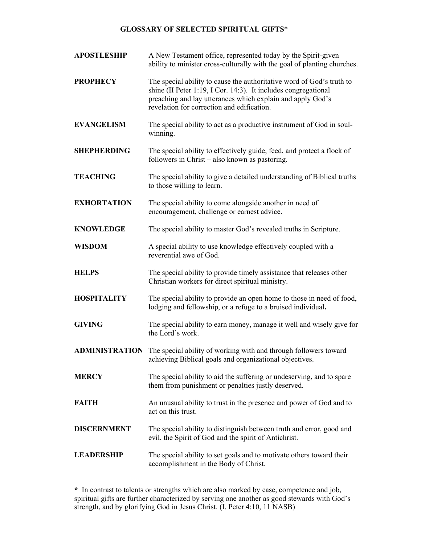### **GLOSSARY OF SELECTED SPIRITUAL GIFTS**\*

| <b>APOSTLESHIP</b> | A New Testament office, represented today by the Spirit-given<br>ability to minister cross-culturally with the goal of planting churches.                                                                                                           |
|--------------------|-----------------------------------------------------------------------------------------------------------------------------------------------------------------------------------------------------------------------------------------------------|
| <b>PROPHECY</b>    | The special ability to cause the authoritative word of God's truth to<br>shine (II Peter 1:19, I Cor. 14:3). It includes congregational<br>preaching and lay utterances which explain and apply God's<br>revelation for correction and edification. |
| <b>EVANGELISM</b>  | The special ability to act as a productive instrument of God in soul-<br>winning.                                                                                                                                                                   |
| <b>SHEPHERDING</b> | The special ability to effectively guide, feed, and protect a flock of<br>followers in Christ – also known as pastoring.                                                                                                                            |
| <b>TEACHING</b>    | The special ability to give a detailed understanding of Biblical truths<br>to those willing to learn.                                                                                                                                               |
| <b>EXHORTATION</b> | The special ability to come alongside another in need of<br>encouragement, challenge or earnest advice.                                                                                                                                             |
| <b>KNOWLEDGE</b>   | The special ability to master God's revealed truths in Scripture.                                                                                                                                                                                   |
| <b>WISDOM</b>      | A special ability to use knowledge effectively coupled with a<br>reverential awe of God.                                                                                                                                                            |
| <b>HELPS</b>       | The special ability to provide timely assistance that releases other<br>Christian workers for direct spiritual ministry.                                                                                                                            |
| <b>HOSPITALITY</b> | The special ability to provide an open home to those in need of food,<br>lodging and fellowship, or a refuge to a bruised individual.                                                                                                               |
| <b>GIVING</b>      | The special ability to earn money, manage it well and wisely give for<br>the Lord's work.                                                                                                                                                           |
|                    | <b>ADMINISTRATION</b> The special ability of working with and through followers toward<br>achieving Biblical goals and organizational objectives.                                                                                                   |
| <b>MERCY</b>       | The special ability to aid the suffering or undeserving, and to spare<br>them from punishment or penalties justly deserved.                                                                                                                         |
| <b>FAITH</b>       | An unusual ability to trust in the presence and power of God and to<br>act on this trust.                                                                                                                                                           |
| <b>DISCERNMENT</b> | The special ability to distinguish between truth and error, good and<br>evil, the Spirit of God and the spirit of Antichrist.                                                                                                                       |
| <b>LEADERSHIP</b>  | The special ability to set goals and to motivate others toward their<br>accomplishment in the Body of Christ.                                                                                                                                       |

**\*** In contrast to talents or strengths which are also marked by ease, competence and job, spiritual gifts are further characterized by serving one another as good stewards with God's strength, and by glorifying God in Jesus Christ. (I. Peter 4:10, 11 NASB)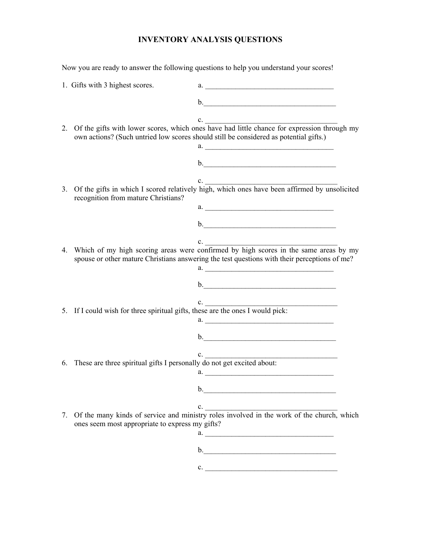# **INVENTORY ANALYSIS QUESTIONS**

Now you are ready to answer the following questions to help you understand your scores!

|    | 1. Gifts with 3 highest scores.                                                |                                                                                                                                                                                               |
|----|--------------------------------------------------------------------------------|-----------------------------------------------------------------------------------------------------------------------------------------------------------------------------------------------|
|    |                                                                                | $\mathbf{b}$ .                                                                                                                                                                                |
|    |                                                                                |                                                                                                                                                                                               |
|    |                                                                                | 2. Of the gifts with lower scores, which ones have had little chance for expression through my<br>own actions? (Such untried low scores should still be considered as potential gifts.)<br>a. |
|    |                                                                                |                                                                                                                                                                                               |
|    |                                                                                |                                                                                                                                                                                               |
|    | recognition from mature Christians?                                            | 3. Of the gifts in which I scored relatively high, which ones have been affirmed by unsolicited                                                                                               |
|    |                                                                                | a.                                                                                                                                                                                            |
|    |                                                                                | $\mathbf{b}$ .                                                                                                                                                                                |
|    |                                                                                |                                                                                                                                                                                               |
| 4. |                                                                                | Which of my high scoring areas were confirmed by high scores in the same areas by my<br>spouse or other mature Christians answering the test questions with their perceptions of me?          |
|    |                                                                                |                                                                                                                                                                                               |
|    |                                                                                |                                                                                                                                                                                               |
|    | 5. If I could wish for three spiritual gifts, these are the ones I would pick: |                                                                                                                                                                                               |
|    |                                                                                | a.                                                                                                                                                                                            |
|    |                                                                                | b.                                                                                                                                                                                            |
|    |                                                                                |                                                                                                                                                                                               |
| 6. | These are three spiritual gifts I personally do not get excited about:         | c.<br>a.                                                                                                                                                                                      |
|    |                                                                                |                                                                                                                                                                                               |
|    |                                                                                | b.<br><u> 1989 - Johann Stein, mars an de Brazilia (b. 1989)</u>                                                                                                                              |
|    |                                                                                | c.<br>7. Of the many kinds of service and ministry roles involved in the work of the church, which                                                                                            |
|    | ones seem most appropriate to express my gifts?                                | a.                                                                                                                                                                                            |
|    |                                                                                |                                                                                                                                                                                               |
|    |                                                                                |                                                                                                                                                                                               |
|    |                                                                                | c.                                                                                                                                                                                            |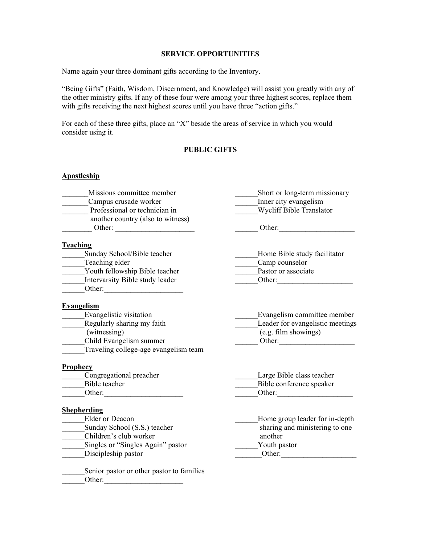#### **SERVICE OPPORTUNITIES**

Name again your three dominant gifts according to the Inventory.

"Being Gifts" (Faith, Wisdom, Discernment, and Knowledge) will assist you greatly with any of the other ministry gifts. If any of these four were among your three highest scores, replace them with gifts receiving the next highest scores until you have three "action gifts."

For each of these three gifts, place an "X" beside the areas of service in which you would consider using it.

### **PUBLIC GIFTS**

# **Apostleship** Missions committee member Short or long-term missionary Campus crusade worker Inner city evangelism<br>Professional or technician in Wycliff Bible Translator Professional or technician in another country (also to witness) \_\_\_\_\_\_\_\_ Other: \_\_\_\_\_\_\_\_\_\_\_\_\_\_\_\_\_\_\_\_\_ \_\_\_\_\_\_ Other:\_\_\_\_\_\_\_\_\_\_\_\_\_\_\_\_\_\_\_\_ **Teaching** Sunday School/Bible teacher **Example 3** Home Bible study facilitator Teaching elder Camp counselor Youth fellowship Bible teacher **Pastor or associate** Intervarsity Bible study leader **Example 2018** Other: Other: **Evangelism**<br>Evangelistic visitation Evangelism committee member Regularly sharing my faith Leader for evangelistic meetings (witnessing) (e.g. film showings)<br>Child Evangelism summer<br>Other:  $Other:$ Traveling college-age evangelism team **Prophecy** \_\_\_\_\_\_Congregational preacher \_\_\_\_\_\_Large Bible class teacher Bible teacher **Example 1988** Bible conference speaker **Conference Speaker** Other: Other:  $\qquad \qquad \qquad$ **Shepherding** Elder or Deacon **Elder** or Deacon **Elder** or Deacon **Elder** for in-depth Sunday School (S.S.) teacher sharing and ministering to one \_\_\_\_\_\_Children's club worker another Singles or "Singles Again" pastor Touth pastor Youth pastor \_\_\_\_\_\_Discipleship pastor \_\_\_\_\_\_\_Other:\_\_\_\_\_\_\_\_\_\_\_\_\_\_\_\_\_\_\_\_ Senior pastor or other pastor to families \_\_\_\_\_\_Other:\_\_\_\_\_\_\_\_\_\_\_\_\_\_\_\_\_\_\_\_\_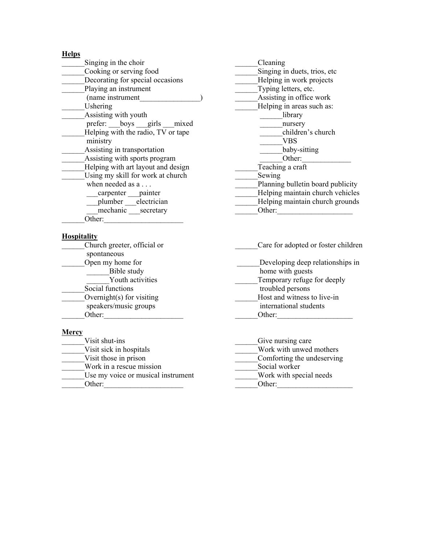### **Helps**

| Singing in the choir               | Cleaning                         |
|------------------------------------|----------------------------------|
| Cooking or serving food            | Singing in duets, trios, etc.    |
| Decorating for special occasions   | Helping in work projects         |
| Playing an instrument              | Typing letters, etc.             |
| (name instrument                   | Assisting in office work         |
| Ushering                           | Helping in areas such as:        |
| Assisting with youth               | library                          |
| prefer: boys girls mixed           | nursery                          |
| Helping with the radio, TV or tape | children's church                |
| ministry                           | VBS                              |
| Assisting in transportation        | baby-sitting                     |
| Assisting with sports program      | Other:                           |
| Helping with art layout and design | Teaching a craft                 |
| Using my skill for work at church  | Sewing                           |
| when needed as a                   | Planning bulletin board publicit |
| carpenter painter                  | Helping maintain church vehicl   |
| plumber electrician                | Helping maintain church groun    |
| mechanic secretary                 | Other:                           |
| Other:                             |                                  |

### **Hospitality**

| Church greeter, official or        | Care for adopted or foster children |  |  |
|------------------------------------|-------------------------------------|--|--|
| spontaneous                        |                                     |  |  |
| Open my home for                   | Developing deep relationships in    |  |  |
| Bible study                        | home with guests                    |  |  |
| Youth activities                   | Temporary refuge for deeply         |  |  |
| Social functions                   | troubled persons                    |  |  |
| Overnight $(s)$ for visiting       | Host and witness to live-in         |  |  |
| speakers/music groups              | international students              |  |  |
| Other:                             | Other:                              |  |  |
| <b>Mercy</b>                       |                                     |  |  |
| Visit shut-ins                     | Give nursing care                   |  |  |
| Visit sick in hospitals            | Work with unwed mothers             |  |  |
| Visit those in prison              | Comforting the undeserving          |  |  |
| Work in a rescue mission           | Social worker                       |  |  |
| Use my voice or musical instrument | Work with special needs             |  |  |
| Other:                             | Other:                              |  |  |

Planning bulletin board publicity Helping maintain church vehicles Helping maintain church grounds